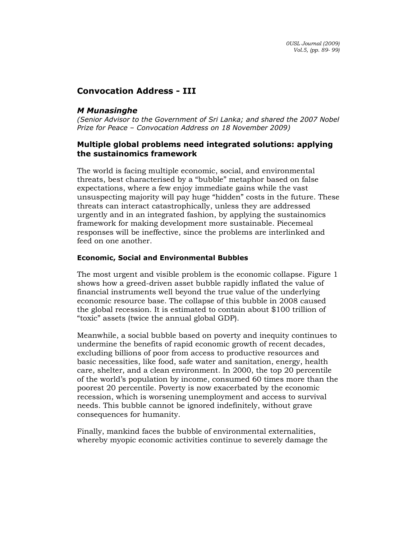# Convocation Address - III

# M Munasinghe

(Senior Advisor to the Government of Sri Lanka; and shared the 2007 Nobel Prize for Peace – Convocation Address on 18 November 2009)

# Multiple global problems need integrated solutions: applying the sustainomics framework

The world is facing multiple economic, social, and environmental threats, best characterised by a "bubble" metaphor based on false expectations, where a few enjoy immediate gains while the vast unsuspecting majority will pay huge "hidden" costs in the future. These threats can interact catastrophically, unless they are addressed urgently and in an integrated fashion, by applying the sustainomics framework for making development more sustainable. Piecemeal responses will be ineffective, since the problems are interlinked and feed on one another.

## Economic, Social and Environmental Bubbles

The most urgent and visible problem is the economic collapse. Figure 1 shows how a greed-driven asset bubble rapidly inflated the value of financial instruments well beyond the true value of the underlying economic resource base. The collapse of this bubble in 2008 caused the global recession. It is estimated to contain about \$100 trillion of "toxic" assets (twice the annual global GDP).

Meanwhile, a social bubble based on poverty and inequity continues to undermine the benefits of rapid economic growth of recent decades, excluding billions of poor from access to productive resources and basic necessities, like food, safe water and sanitation, energy, health care, shelter, and a clean environment. In 2000, the top 20 percentile of the world's population by income, consumed 60 times more than the poorest 20 percentile. Poverty is now exacerbated by the economic recession, which is worsening unemployment and access to survival needs. This bubble cannot be ignored indefinitely, without grave consequences for humanity.

Finally, mankind faces the bubble of environmental externalities, whereby myopic economic activities continue to severely damage the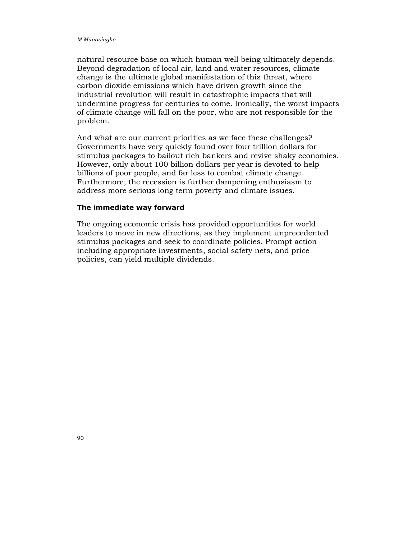natural resource base on which human well being ultimately depends. Beyond degradation of local air, land and water resources, climate change is the ultimate global manifestation of this threat, where carbon dioxide emissions which have driven growth since the industrial revolution will result in catastrophic impacts that will undermine progress for centuries to come. Ironically, the worst impacts of climate change will fall on the poor, who are not responsible for the problem.

And what are our current priorities as we face these challenges? Governments have very quickly found over four trillion dollars for stimulus packages to bailout rich bankers and revive shaky economies. However, only about 100 billion dollars per year is devoted to help billions of poor people, and far less to combat climate change. Furthermore, the recession is further dampening enthusiasm to address more serious long term poverty and climate issues.

### The immediate way forward

The ongoing economic crisis has provided opportunities for world leaders to move in new directions, as they implement unprecedented stimulus packages and seek to coordinate policies. Prompt action including appropriate investments, social safety nets, and price policies, can yield multiple dividends.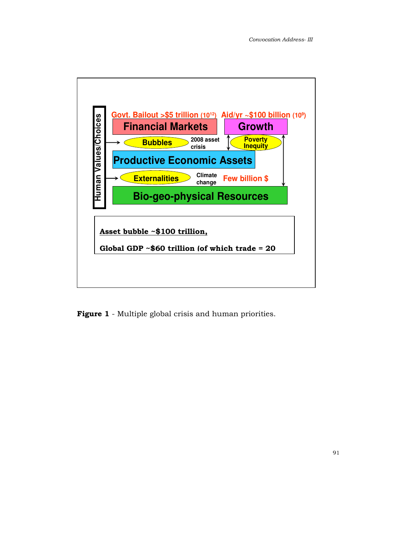

Figure 1 - Multiple global crisis and human priorities.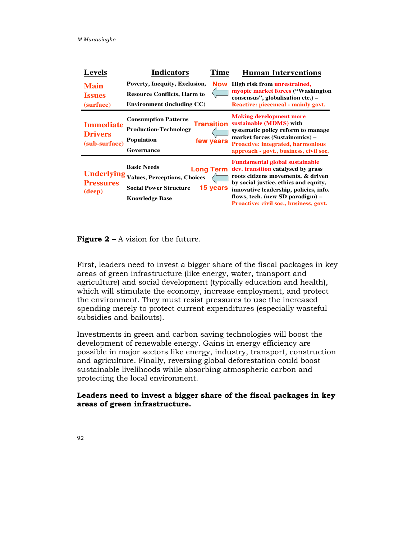| <b>Levels</b>                                       | <b>Indicators</b><br>Time                                                                                                                           | <b>Human Interventions</b>                                                                                                                                                                                                                                                                |
|-----------------------------------------------------|-----------------------------------------------------------------------------------------------------------------------------------------------------|-------------------------------------------------------------------------------------------------------------------------------------------------------------------------------------------------------------------------------------------------------------------------------------------|
| <b>Main</b><br><b>Issues</b><br>(surface)           | Poverty, Inequity, Exclusion,<br><b>Now</b><br><b>Resource Conflicts, Harm to</b><br><b>Environment (including CC)</b>                              | High risk from <b>unrestrained</b> ,<br>myopic market forces ("Washington"<br>consensus", globalisation etc.) –<br>Reactive: piecemeal - mainly govt.                                                                                                                                     |
| <b>Immediate</b><br><b>Drivers</b><br>(sub-surface) | <b>Consumption Patterns</b><br>Transition<br><b>Production-Technology</b><br><b>Population</b><br>few years<br>Governance                           | <b>Making development more</b><br>sustainable (MDMS) with<br>systematic policy reform to manage<br>market forces (Sustainomics) –<br><b>Proactive: integrated, harmonious</b><br>approach - govt., business, civil soc.                                                                   |
| <b>Underlying</b><br><b>Pressures</b><br>(deep)     | <b>Basic Needs</b><br><b>Long Term</b><br><b>Values, Perceptions, Choices</b><br>15 years<br><b>Social Power Structure</b><br><b>Knowledge Base</b> | <b>Fundamental global sustainable</b><br>dev. transition catalysed by grass<br>roots citizens movements, & driven<br>by social justice, ethics and equity,<br>innovative leadership, policies, info.<br>flows, tech. (new SD paradigm) –<br><b>Proactive: civil soc., business, govt.</b> |

**Figure 2** – A vision for the future.

First, leaders need to invest a bigger share of the fiscal packages in key areas of green infrastructure (like energy, water, transport and agriculture) and social development (typically education and health), which will stimulate the economy, increase employment, and protect the environment. They must resist pressures to use the increased spending merely to protect current expenditures (especially wasteful subsidies and bailouts).

Investments in green and carbon saving technologies will boost the development of renewable energy. Gains in energy efficiency are possible in major sectors like energy, industry, transport, construction and agriculture. Finally, reversing global deforestation could boost sustainable livelihoods while absorbing atmospheric carbon and protecting the local environment.

Leaders need to invest a bigger share of the fiscal packages in key areas of green infrastructure.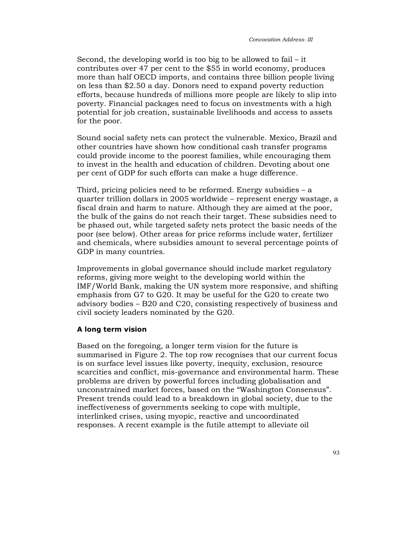Second, the developing world is too big to be allowed to fail – it contributes over 47 per cent to the \$55 in world economy, produces more than half OECD imports, and contains three billion people living on less than \$2.50 a day. Donors need to expand poverty reduction efforts, because hundreds of millions more people are likely to slip into poverty. Financial packages need to focus on investments with a high potential for job creation, sustainable livelihoods and access to assets for the poor.

Sound social safety nets can protect the vulnerable. Mexico, Brazil and other countries have shown how conditional cash transfer programs could provide income to the poorest families, while encouraging them to invest in the health and education of children. Devoting about one per cent of GDP for such efforts can make a huge difference.

Third, pricing policies need to be reformed. Energy subsidies – a quarter trillion dollars in 2005 worldwide – represent energy wastage, a fiscal drain and harm to nature. Although they are aimed at the poor, the bulk of the gains do not reach their target. These subsidies need to be phased out, while targeted safety nets protect the basic needs of the poor (see below). Other areas for price reforms include water, fertilizer and chemicals, where subsidies amount to several percentage points of GDP in many countries.

Improvements in global governance should include market regulatory reforms, giving more weight to the developing world within the IMF/World Bank, making the UN system more responsive, and shifting emphasis from G7 to G20. It may be useful for the G20 to create two advisory bodies – B20 and C20, consisting respectively of business and civil society leaders nominated by the G20.

#### A long term vision

Based on the foregoing, a longer term vision for the future is summarised in Figure 2. The top row recognises that our current focus is on surface level issues like poverty, inequity, exclusion, resource scarcities and conflict, mis-governance and environmental harm. These problems are driven by powerful forces including globalisation and unconstrained market forces, based on the "Washington Consensus". Present trends could lead to a breakdown in global society, due to the ineffectiveness of governments seeking to cope with multiple, interlinked crises, using myopic, reactive and uncoordinated responses. A recent example is the futile attempt to alleviate oil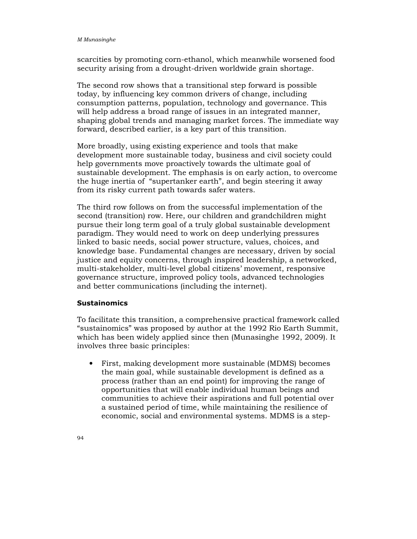scarcities by promoting corn-ethanol, which meanwhile worsened food security arising from a drought-driven worldwide grain shortage.

The second row shows that a transitional step forward is possible today, by influencing key common drivers of change, including consumption patterns, population, technology and governance. This will help address a broad range of issues in an integrated manner, shaping global trends and managing market forces. The immediate way forward, described earlier, is a key part of this transition.

More broadly, using existing experience and tools that make development more sustainable today, business and civil society could help governments move proactively towards the ultimate goal of sustainable development. The emphasis is on early action, to overcome the huge inertia of "supertanker earth", and begin steering it away from its risky current path towards safer waters.

The third row follows on from the successful implementation of the second (transition) row. Here, our children and grandchildren might pursue their long term goal of a truly global sustainable development paradigm. They would need to work on deep underlying pressures linked to basic needs, social power structure, values, choices, and knowledge base. Fundamental changes are necessary, driven by social justice and equity concerns, through inspired leadership, a networked, multi-stakeholder, multi-level global citizens' movement, responsive governance structure, improved policy tools, advanced technologies and better communications (including the internet).

## **Sustainomics**

To facilitate this transition, a comprehensive practical framework called "sustainomics" was proposed by author at the 1992 Rio Earth Summit, which has been widely applied since then (Munasinghe 1992, 2009). It involves three basic principles:

• First, making development more sustainable (MDMS) becomes the main goal, while sustainable development is defined as a process (rather than an end point) for improving the range of opportunities that will enable individual human beings and communities to achieve their aspirations and full potential over a sustained period of time, while maintaining the resilience of economic, social and environmental systems. MDMS is a step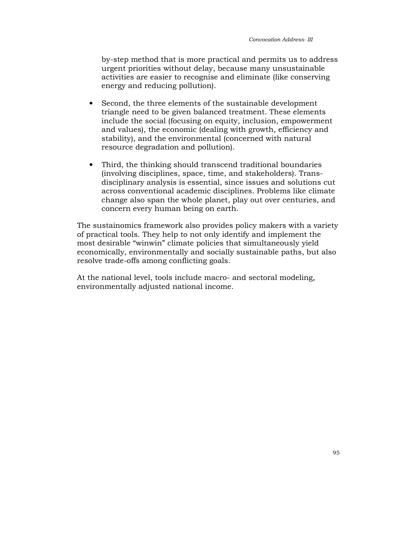by-step method that is more practical and permits us to address urgent priorities without delay, because many unsustainable activities are easier to recognise and eliminate (like conserving energy and reducing pollution).

- Second, the three elements of the sustainable development triangle need to be given balanced treatment. These elements include the social (focusing on equity, inclusion, empowerment and values), the economic (dealing with growth, efficiency and stability), and the environmental (concerned with natural resource degradation and pollution).
- Third, the thinking should transcend traditional boundaries (involving disciplines, space, time, and stakeholders). Transdisciplinary analysis is essential, since issues and solutions cut across conventional academic disciplines. Problems like climate change also span the whole planet, play out over centuries, and concern every human being on earth.

The sustainomics framework also provides policy makers with a variety of practical tools. They help to not only identify and implement the most desirable "winwin" climate policies that simultaneously yield economically, environmentally and socially sustainable paths, but also resolve trade-offs among conflicting goals.

At the national level, tools include macro- and sectoral modeling, environmentally adjusted national income.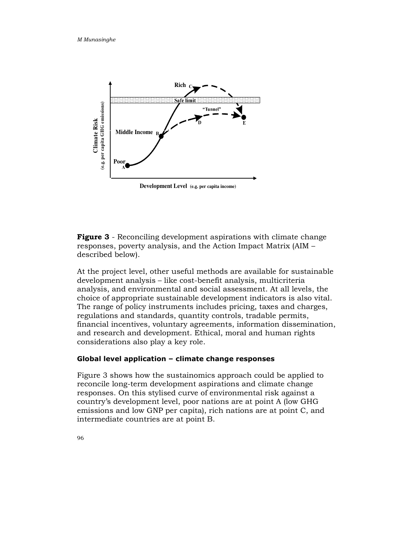

**Figure 3** - Reconciling development aspirations with climate change responses, poverty analysis, and the Action Impact Matrix (AIM – described below).

At the project level, other useful methods are available for sustainable development analysis – like cost-benefit analysis, multicriteria analysis, and environmental and social assessment. At all levels, the choice of appropriate sustainable development indicators is also vital. The range of policy instruments includes pricing, taxes and charges, regulations and standards, quantity controls, tradable permits, financial incentives, voluntary agreements, information dissemination, and research and development. Ethical, moral and human rights considerations also play a key role.

### Global level application – climate change responses

Figure 3 shows how the sustainomics approach could be applied to reconcile long-term development aspirations and climate change responses. On this stylised curve of environmental risk against a country's development level, poor nations are at point A (low GHG emissions and low GNP per capita), rich nations are at point C, and intermediate countries are at point B.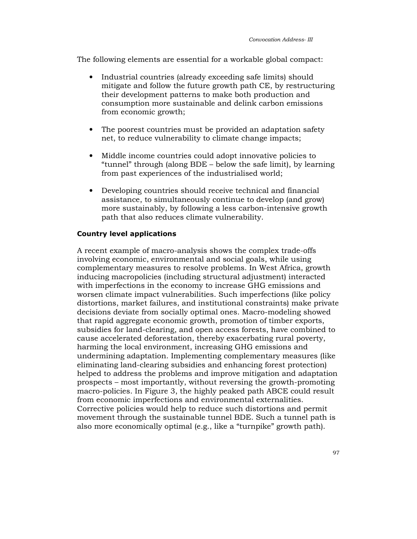The following elements are essential for a workable global compact:

- Industrial countries (already exceeding safe limits) should mitigate and follow the future growth path CE, by restructuring their development patterns to make both production and consumption more sustainable and delink carbon emissions from economic growth;
- The poorest countries must be provided an adaptation safety net, to reduce vulnerability to climate change impacts;
- Middle income countries could adopt innovative policies to "tunnel" through (along BDE – below the safe limit), by learning from past experiences of the industrialised world;
- Developing countries should receive technical and financial assistance, to simultaneously continue to develop (and grow) more sustainably, by following a less carbon-intensive growth path that also reduces climate vulnerability.

#### Country level applications

A recent example of macro-analysis shows the complex trade-offs involving economic, environmental and social goals, while using complementary measures to resolve problems. In West Africa, growth inducing macropolicies (including structural adjustment) interacted with imperfections in the economy to increase GHG emissions and worsen climate impact vulnerabilities. Such imperfections (like policy distortions, market failures, and institutional constraints) make private decisions deviate from socially optimal ones. Macro-modeling showed that rapid aggregate economic growth, promotion of timber exports, subsidies for land-clearing, and open access forests, have combined to cause accelerated deforestation, thereby exacerbating rural poverty, harming the local environment, increasing GHG emissions and undermining adaptation. Implementing complementary measures (like eliminating land-clearing subsidies and enhancing forest protection) helped to address the problems and improve mitigation and adaptation prospects – most importantly, without reversing the growth-promoting macro-policies. In Figure 3, the highly peaked path ABCE could result from economic imperfections and environmental externalities. Corrective policies would help to reduce such distortions and permit movement through the sustainable tunnel BDE. Such a tunnel path is also more economically optimal (e.g., like a "turnpike" growth path).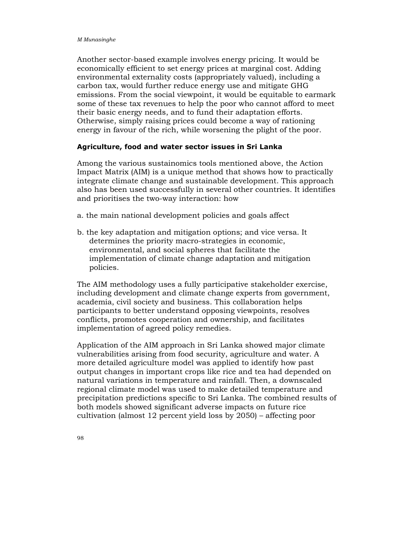Another sector-based example involves energy pricing. It would be economically efficient to set energy prices at marginal cost. Adding environmental externality costs (appropriately valued), including a carbon tax, would further reduce energy use and mitigate GHG emissions. From the social viewpoint, it would be equitable to earmark some of these tax revenues to help the poor who cannot afford to meet their basic energy needs, and to fund their adaptation efforts. Otherwise, simply raising prices could become a way of rationing energy in favour of the rich, while worsening the plight of the poor.

#### Agriculture, food and water sector issues in Sri Lanka

Among the various sustainomics tools mentioned above, the Action Impact Matrix (AIM) is a unique method that shows how to practically integrate climate change and sustainable development. This approach also has been used successfully in several other countries. It identifies and prioritises the two-way interaction: how

- a. the main national development policies and goals affect
- b. the key adaptation and mitigation options; and vice versa. It determines the priority macro-strategies in economic, environmental, and social spheres that facilitate the implementation of climate change adaptation and mitigation policies.

The AIM methodology uses a fully participative stakeholder exercise, including development and climate change experts from government, academia, civil society and business. This collaboration helps participants to better understand opposing viewpoints, resolves conflicts, promotes cooperation and ownership, and facilitates implementation of agreed policy remedies.

Application of the AIM approach in Sri Lanka showed major climate vulnerabilities arising from food security, agriculture and water. A more detailed agriculture model was applied to identify how past output changes in important crops like rice and tea had depended on natural variations in temperature and rainfall. Then, a downscaled regional climate model was used to make detailed temperature and precipitation predictions specific to Sri Lanka. The combined results of both models showed significant adverse impacts on future rice cultivation (almost 12 percent yield loss by 2050) – affecting poor